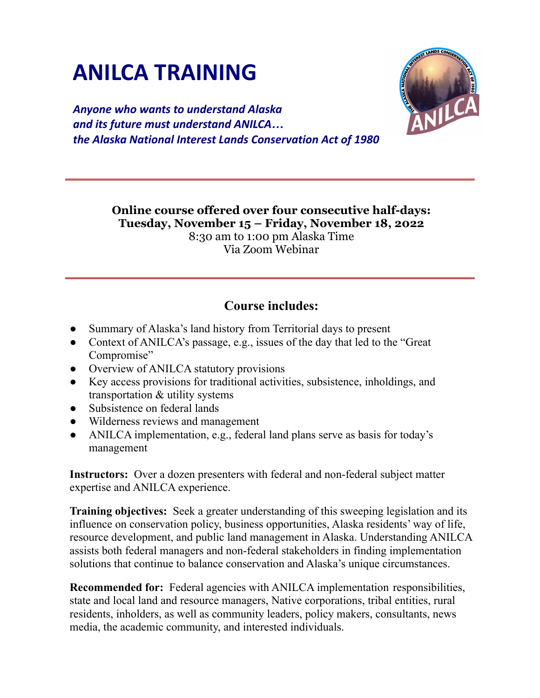## **ANILCA TRAINING**

*Anyone who wants to understand Alaska and its future must understand ANILCA… the Alaska National Interest Lands Conservation Act of 1980*

> **Online course offered over four consecutive half-days: Tuesday, November 15 – Friday, November 18, 2022** 8:30 am to 1:00 pm Alaska Time Via Zoom Webinar

## **Course includes:**

- Summary of Alaska's land history from Territorial days to present
- Context of ANILCA's passage, e.g., issues of the day that led to the "Great" Compromise"
- Overview of ANILCA statutory provisions
- Key access provisions for traditional activities, subsistence, inholdings, and transportation & utility systems
- Subsistence on federal lands
- Wilderness reviews and management
- ANILCA implementation, e.g., federal land plans serve as basis for today's management

**Instructors:** Over a dozen presenters with federal and non-federal subject matter expertise and ANILCA experience.

**Training objectives:** Seek a greater understanding of this sweeping legislation and its influence on conservation policy, business opportunities, Alaska residents' way of life, resource development, and public land management in Alaska. Understanding ANILCA assists both federal managers and non-federal stakeholders in finding implementation solutions that continue to balance conservation and Alaska's unique circumstances.

**Recommended for:** Federal agencies with ANILCA implementation responsibilities, state and local land and resource managers, Native corporations, tribal entities, rural residents, inholders, as well as community leaders, policy makers, consultants, news media, the academic community, and interested individuals.